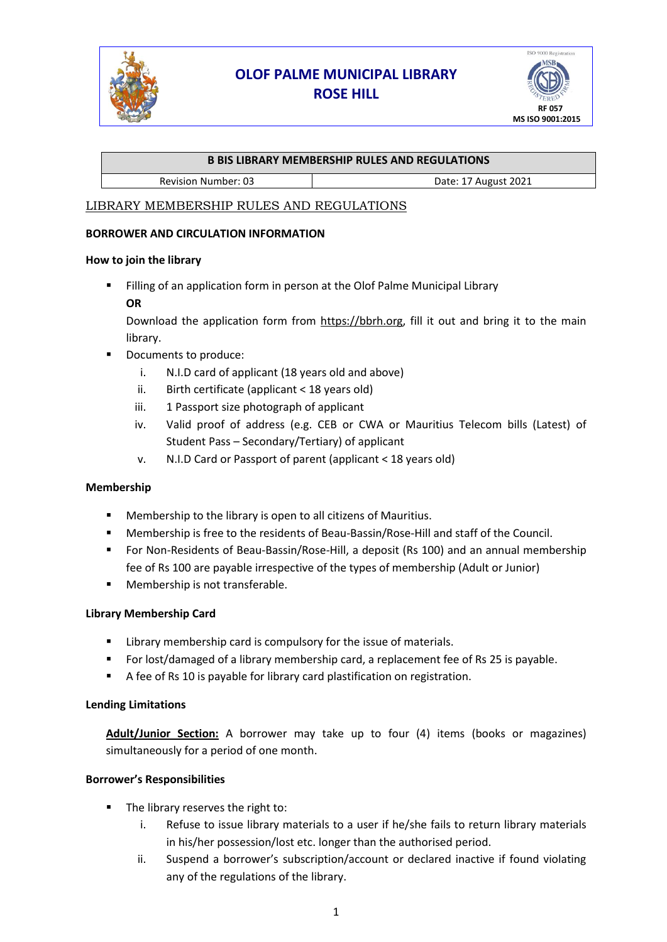

# **OLOF PALME MUNICIPAL LIBRARY ROSE HILL**



### **B BIS LIBRARY MEMBERSHIP RULES AND REGULATIONS**

Revision Number: 03 and 1 and 10 and 17 August 2021

# LIBRARY MEMBERSHIP RULES AND REGULATIONS

#### **BORROWER AND CIRCULATION INFORMATION**

#### **How to join the library**

Filling of an application form in person at the Olof Palme Municipal Library **OR**

Download the application form from https://bbrh.org, fill it out and bring it to the main library.

- Documents to produce:
	- i. N.I.D card of applicant (18 years old and above)
	- ii. Birth certificate (applicant < 18 years old)
	- iii. 1 Passport size photograph of applicant
	- iv. Valid proof of address (e.g. CEB or CWA or Mauritius Telecom bills (Latest) of Student Pass – Secondary/Tertiary) of applicant
	- v. N.I.D Card or Passport of parent (applicant < 18 years old)

#### **Membership**

- Membership to the library is open to all citizens of Mauritius.
- Membership is free to the residents of Beau-Bassin/Rose-Hill and staff of the Council.
- For Non-Residents of Beau-Bassin/Rose-Hill, a deposit (Rs 100) and an annual membership fee of Rs 100 are payable irrespective of the types of membership (Adult or Junior)
- Membership is not transferable.

## **Library Membership Card**

- **E** Library membership card is compulsory for the issue of materials.
- For lost/damaged of a library membership card, a replacement fee of Rs 25 is payable.
- A fee of Rs 10 is payable for library card plastification on registration.

#### **Lending Limitations**

**Adult/Junior Section:** A borrower may take up to four (4) items (books or magazines) simultaneously for a period of one month.

#### **Borrower's Responsibilities**

- The library reserves the right to:
	- i. Refuse to issue library materials to a user if he/she fails to return library materials in his/her possession/lost etc. longer than the authorised period.
	- ii. Suspend a borrower's subscription/account or declared inactive if found violating any of the regulations of the library.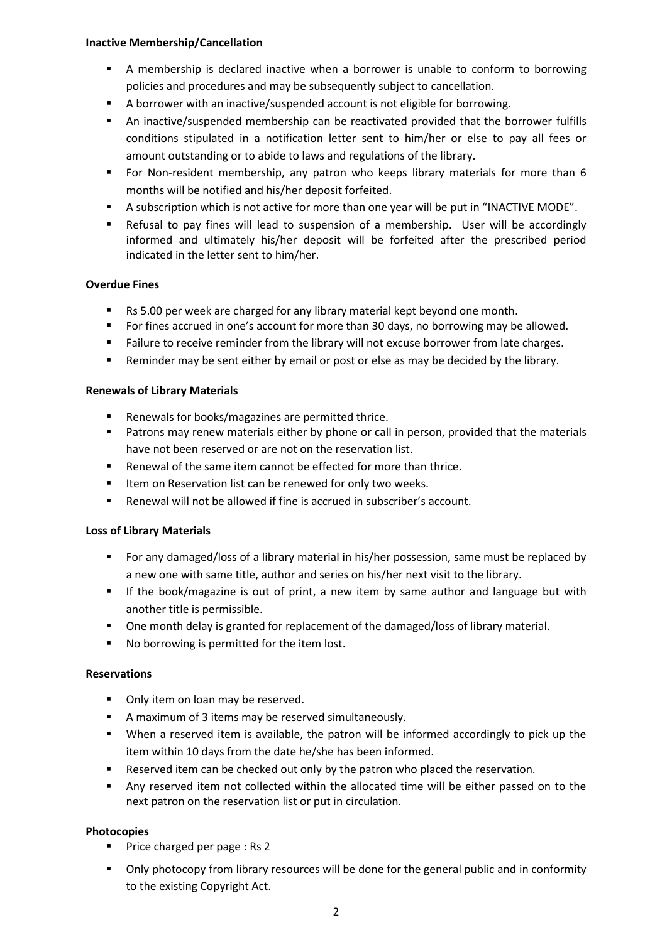#### **Inactive Membership/Cancellation**

- A membership is declared inactive when a borrower is unable to conform to borrowing policies and procedures and may be subsequently subject to cancellation.
- A borrower with an inactive/suspended account is not eligible for borrowing.
- An inactive/suspended membership can be reactivated provided that the borrower fulfills conditions stipulated in a notification letter sent to him/her or else to pay all fees or amount outstanding or to abide to laws and regulations of the library.
- **•** For Non-resident membership, any patron who keeps library materials for more than 6 months will be notified and his/her deposit forfeited.
- A subscription which is not active for more than one year will be put in "INACTIVE MODE".
- Refusal to pay fines will lead to suspension of a membership. User will be accordingly informed and ultimately his/her deposit will be forfeited after the prescribed period indicated in the letter sent to him/her.

#### **Overdue Fines**

- Rs 5.00 per week are charged for any library material kept beyond one month.
- For fines accrued in one's account for more than 30 days, no borrowing may be allowed.
- Failure to receive reminder from the library will not excuse borrower from late charges.
- **EXE** Reminder may be sent either by email or post or else as may be decided by the library.

#### **Renewals of Library Materials**

- Renewals for books/magazines are permitted thrice.
- Patrons may renew materials either by phone or call in person, provided that the materials have not been reserved or are not on the reservation list.
- Renewal of the same item cannot be effected for more than thrice.
- Item on Reservation list can be renewed for only two weeks.
- Renewal will not be allowed if fine is accrued in subscriber's account.

#### **Loss of Library Materials**

- For any damaged/loss of a library material in his/her possession, same must be replaced by a new one with same title, author and series on his/her next visit to the library.
- **.** If the book/magazine is out of print, a new item by same author and language but with another title is permissible.
- One month delay is granted for replacement of the damaged/loss of library material.
- No borrowing is permitted for the item lost.

#### **Reservations**

- Only item on loan may be reserved.
- A maximum of 3 items may be reserved simultaneously.
- When a reserved item is available, the patron will be informed accordingly to pick up the item within 10 days from the date he/she has been informed.
- Reserved item can be checked out only by the patron who placed the reservation.
- Any reserved item not collected within the allocated time will be either passed on to the next patron on the reservation list or put in circulation.

#### **Photocopies**

- Price charged per page : Rs 2
- Only photocopy from library resources will be done for the general public and in conformity to the existing Copyright Act.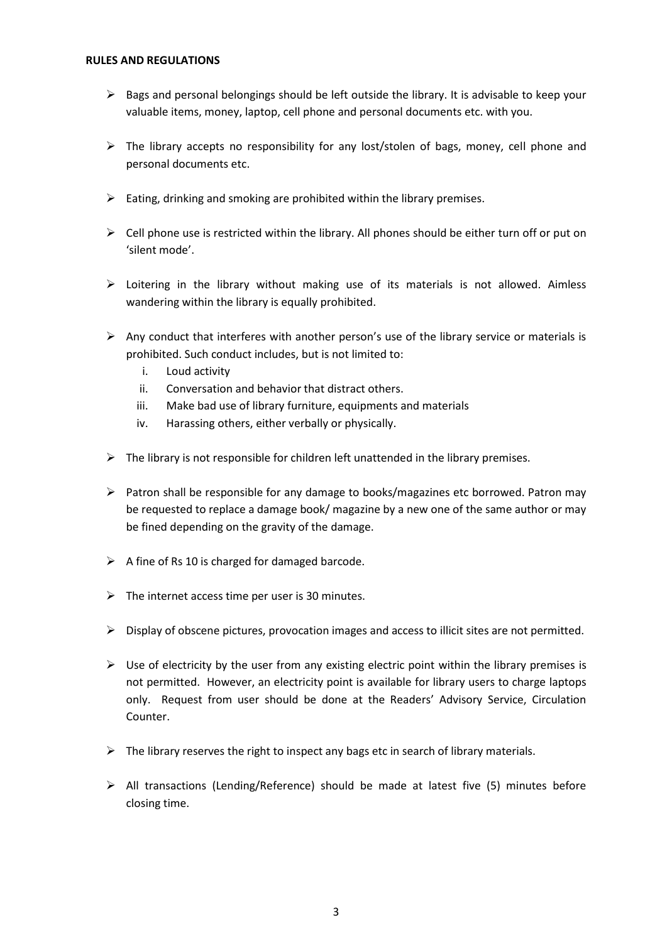#### **RULES AND REGULATIONS**

- $\triangleright$  Bags and personal belongings should be left outside the library. It is advisable to keep your valuable items, money, laptop, cell phone and personal documents etc. with you.
- $\triangleright$  The library accepts no responsibility for any lost/stolen of bags, money, cell phone and personal documents etc.
- $\triangleright$  Eating, drinking and smoking are prohibited within the library premises.
- $\triangleright$  Cell phone use is restricted within the library. All phones should be either turn off or put on 'silent mode'.
- ➢ Loitering in the library without making use of its materials is not allowed. Aimless wandering within the library is equally prohibited.
- $\triangleright$  Any conduct that interferes with another person's use of the library service or materials is prohibited. Such conduct includes, but is not limited to:
	- i. Loud activity
	- ii. Conversation and behavior that distract others.
	- iii. Make bad use of library furniture, equipments and materials
	- iv. Harassing others, either verbally or physically.
- $\triangleright$  The library is not responsible for children left unattended in the library premises.
- $\triangleright$  Patron shall be responsible for any damage to books/magazines etc borrowed. Patron may be requested to replace a damage book/ magazine by a new one of the same author or may be fined depending on the gravity of the damage.
- $\triangleright$  A fine of Rs 10 is charged for damaged barcode.
- $\triangleright$  The internet access time per user is 30 minutes.
- $\triangleright$  Display of obscene pictures, provocation images and access to illicit sites are not permitted.
- $\triangleright$  Use of electricity by the user from any existing electric point within the library premises is not permitted. However, an electricity point is available for library users to charge laptops only. Request from user should be done at the Readers' Advisory Service, Circulation Counter.
- $\triangleright$  The library reserves the right to inspect any bags etc in search of library materials.
- ➢ All transactions (Lending/Reference) should be made at latest five (5) minutes before closing time.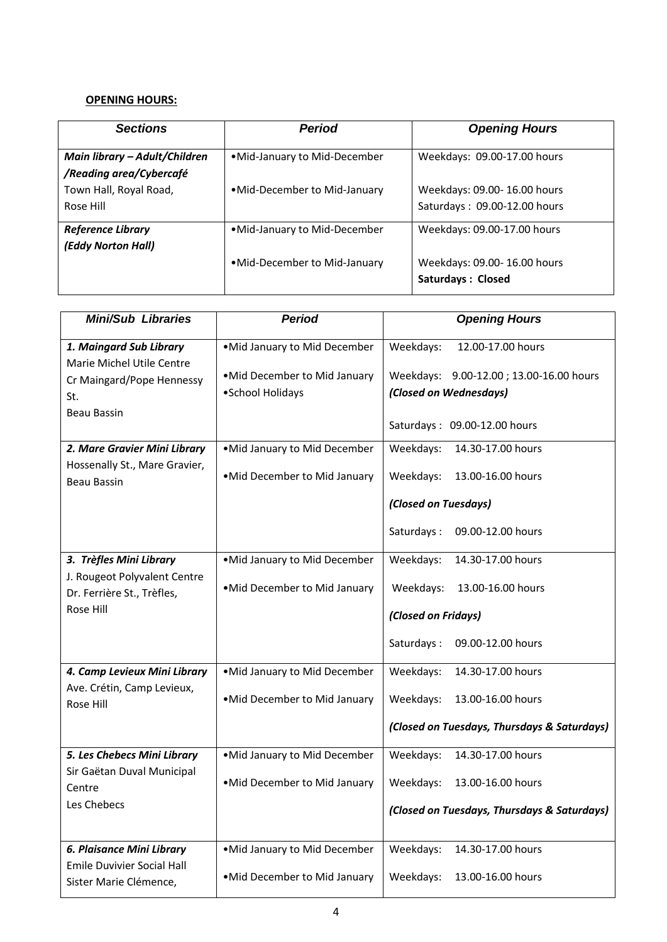# **OPENING HOURS:**

| <b>Sections</b>                                          | <b>Period</b>                | <b>Opening Hours</b>                                        |
|----------------------------------------------------------|------------------------------|-------------------------------------------------------------|
| Main library - Adult/Children<br>/Reading area/Cybercafé | •Mid-January to Mid-December | Weekdays: 09.00-17.00 hours                                 |
| Town Hall, Royal Road,<br>Rose Hill                      | •Mid-December to Mid-January | Weekdays: 09.00-16.00 hours<br>Saturdays: 09.00-12.00 hours |
| <b>Reference Library</b><br>(Eddy Norton Hall)           | •Mid-January to Mid-December | Weekdays: 09.00-17.00 hours                                 |
|                                                          | •Mid-December to Mid-January | Weekdays: 09.00-16.00 hours<br><b>Saturdays: Closed</b>     |

| <b>Mini/Sub Libraries</b>                                                                | <b>Period</b>                                    | <b>Opening Hours</b>                                              |
|------------------------------------------------------------------------------------------|--------------------------------------------------|-------------------------------------------------------------------|
| 1. Maingard Sub Library<br>Marie Michel Utile Centre<br>Cr Maingard/Pope Hennessy<br>St. | .Mid January to Mid December                     | Weekdays:<br>12.00-17.00 hours                                    |
|                                                                                          | .Mid December to Mid January<br>•School Holidays | Weekdays: 9.00-12.00; 13.00-16.00 hours<br>(Closed on Wednesdays) |
| Beau Bassin                                                                              |                                                  | Saturdays: 09.00-12.00 hours                                      |
| 2. Mare Gravier Mini Library                                                             | .Mid January to Mid December                     | Weekdays:<br>14.30-17.00 hours                                    |
| Hossenally St., Mare Gravier,<br><b>Beau Bassin</b>                                      | .Mid December to Mid January                     | Weekdays:<br>13.00-16.00 hours                                    |
|                                                                                          |                                                  | (Closed on Tuesdays)                                              |
|                                                                                          |                                                  | Saturdays:<br>09.00-12.00 hours                                   |
| 3. Trèfles Mini Library                                                                  | .Mid January to Mid December                     | Weekdays:<br>14.30-17.00 hours                                    |
| J. Rougeot Polyvalent Centre<br>Dr. Ferrière St., Trèfles,                               | .Mid December to Mid January                     | Weekdays:<br>13.00-16.00 hours                                    |
| Rose Hill                                                                                |                                                  | (Closed on Fridays)                                               |
|                                                                                          |                                                  | Saturdays:<br>09.00-12.00 hours                                   |
| 4. Camp Levieux Mini Library                                                             | .Mid January to Mid December                     | Weekdays:<br>14.30-17.00 hours                                    |
| Ave. Crétin, Camp Levieux,<br>Rose Hill                                                  | .Mid December to Mid January                     | Weekdays:<br>13.00-16.00 hours                                    |
|                                                                                          |                                                  | (Closed on Tuesdays, Thursdays & Saturdays)                       |
| 5. Les Chebecs Mini Library<br>Sir Gaëtan Duval Municipal<br>Centre                      | .Mid January to Mid December                     | Weekdays:<br>14.30-17.00 hours                                    |
|                                                                                          | •Mid December to Mid January                     | Weekdays:<br>13.00-16.00 hours                                    |
| Les Chebecs                                                                              |                                                  | (Closed on Tuesdays, Thursdays & Saturdays)                       |
| 6. Plaisance Mini Library                                                                | .Mid January to Mid December                     | Weekdays:<br>14.30-17.00 hours                                    |
| <b>Emile Duvivier Social Hall</b><br>Sister Marie Clémence,                              | .Mid December to Mid January                     | Weekdays:<br>13.00-16.00 hours                                    |